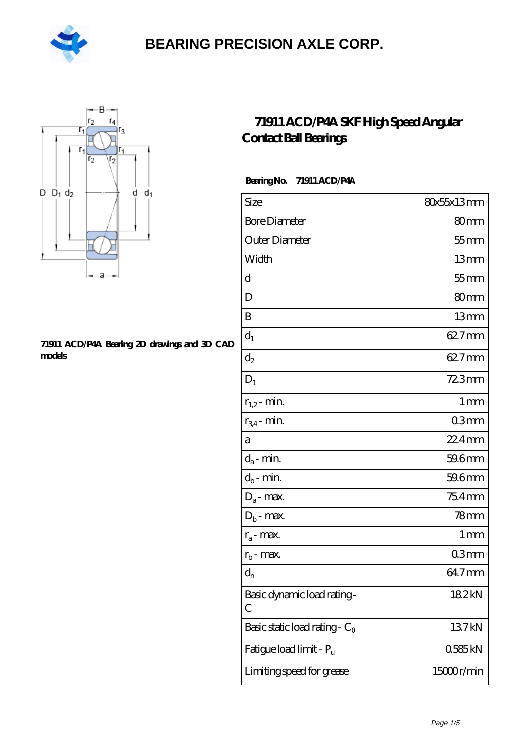



#### **[71911 ACD/P4A Bearing 2D drawings and 3D CAD](https://m.hilalanaokulu.com/pic-660683.html) [models](https://m.hilalanaokulu.com/pic-660683.html)**

### **[71911 ACD/P4A SKF High Speed Angular](https://m.hilalanaokulu.com/skf-bearings/71911-acd-p4a.html) [Contact Ball Bearings](https://m.hilalanaokulu.com/skf-bearings/71911-acd-p4a.html)**

#### **Bearing No. 71911 ACD/P4A**

| Size                             | 80x55x13mm       |
|----------------------------------|------------------|
| <b>Bore Diameter</b>             | 80mm             |
| Outer Diameter                   | $55$ mm          |
| Width                            | 13mm             |
| d                                | $55$ mm          |
| D                                | 80 <sub>mm</sub> |
| B                                | 13mm             |
| $d_1$                            | 62.7mm           |
| $\mathrm{d}_2$                   | 62.7mm           |
| $D_1$                            | $723$ mm         |
| $r_{1,2}$ - min.                 | 1 <sub>mm</sub>  |
| $r_{34}$ - min.                  | 03mm             |
| а                                | 22.4mm           |
| $d_a$ - min.                     | 59.6mm           |
| $d_b$ - min.                     | 59.6mm           |
| $D_a$ - max.                     | $754$ mm         |
| $D_b$ - max.                     | 78mm             |
| $r_a$ - max.                     | 1 mm             |
| $r_{b}$ - max.                   | 03 <sub>mm</sub> |
| $d_{n}$                          | 64.7mm           |
| Basic dynamic load rating-<br>С  | 182kN            |
| Basic static load rating - $C_0$ | 137kN            |
| Fatigue load limit - Pu          | 0585kN           |
| Limiting speed for grease        | 15000r/min       |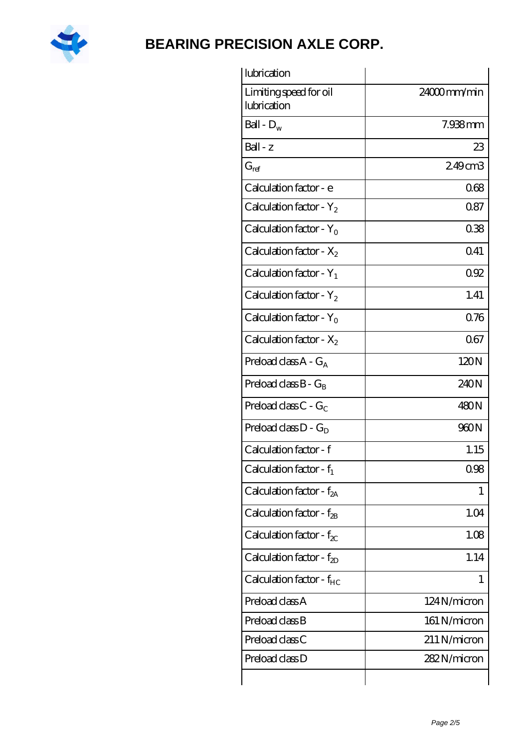

| lubrication                           |                |
|---------------------------------------|----------------|
| Limiting speed for oil<br>lubrication | $24000$ mm/min |
| Ball - $D_w$                          | 7.938mm        |
| $Ball - z$                            | 23             |
| $G_{ref}$                             | 249cm3         |
| Calculation factor - e                | 068            |
| Calculation factor - $Y_2$            | 0.87           |
| Calculation factor - $Y_0$            | 038            |
| Calculation factor - $X_2$            | 0.41           |
| Calculation factor - $Y_1$            | 092            |
| Calculation factor - $Y_2$            | 1.41           |
| Calculation factor - $Y_0$            | 0.76           |
| Calculation factor - $X_2$            | 067            |
| Preload class $A - G_A$               | 120N           |
| Preload class $B - G_B$               | 240N           |
| Preload class $C - G_C$               | 480N           |
| Preload class $D - G_D$               | 960N           |
| Calculation factor - f                | 1.15           |
| Calculation factor - $f_1$            | 0.98           |
| Calculation factor - $f_{2A}$         | 1              |
| Calculation factor - $f_{2B}$         | 1.04           |
| Calculation factor - $f_{\chi}$       | 1.08           |
| Calculation factor - $f_{ZD}$         | 1.14           |
| Calculation factor - $f_{HC}$         | 1              |
| Preload class A                       | 124N/micron    |
| Preload class B                       | 161 N/micron   |
| Preload class C                       | 211 N/micron   |
| Preload class D                       | 282N/micron    |
|                                       |                |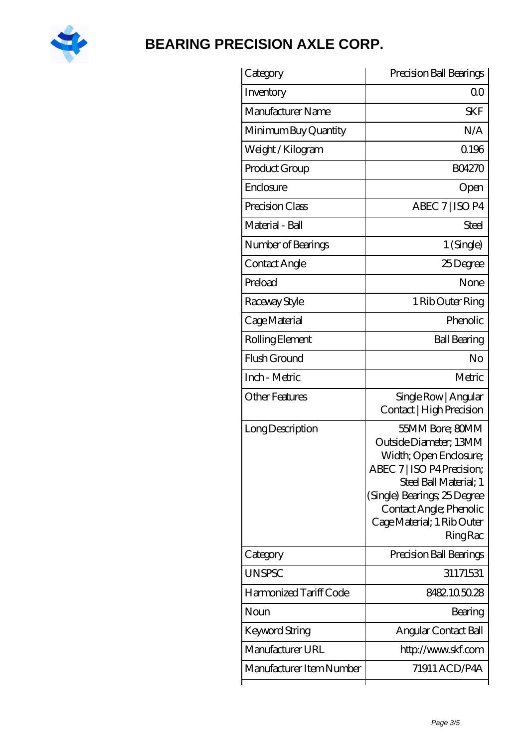

| Category               | Precision Ball Bearings                                                                                                                                                                                                                 |
|------------------------|-----------------------------------------------------------------------------------------------------------------------------------------------------------------------------------------------------------------------------------------|
| Inventory              | 0 <sup>0</sup>                                                                                                                                                                                                                          |
| Manufacturer Name      | <b>SKF</b>                                                                                                                                                                                                                              |
| Minimum Buy Quantity   | N/A                                                                                                                                                                                                                                     |
| Weight/Kilogram        | 0.196                                                                                                                                                                                                                                   |
| Product Group          | <b>BO4270</b>                                                                                                                                                                                                                           |
| Enclosure              | Open                                                                                                                                                                                                                                    |
| Precision Class        | ABEC 7   ISO P4                                                                                                                                                                                                                         |
| Material - Ball        | <b>Steel</b>                                                                                                                                                                                                                            |
| Number of Bearings     | 1 (Single)                                                                                                                                                                                                                              |
| Contact Angle          | 25Degree                                                                                                                                                                                                                                |
| Preload                | None                                                                                                                                                                                                                                    |
| Raceway Style          | 1 Rib Outer Ring                                                                                                                                                                                                                        |
| Cage Material          | Phenolic                                                                                                                                                                                                                                |
| Rolling Element        | <b>Ball Bearing</b>                                                                                                                                                                                                                     |
| Flush Ground           | No                                                                                                                                                                                                                                      |
| Inch - Metric          | Metric                                                                                                                                                                                                                                  |
| <b>Other Features</b>  | Single Row   Angular<br>Contact   High Precision                                                                                                                                                                                        |
| Long Description       | 55MM Bore; 80MM<br>Outside Diameter; 13MM<br>Width; Open Enclosure;<br>ABEC 7   ISO P4 Precision;<br>Steel Ball Material; 1<br>(Single) Bearings, 25 Degree<br>Contact Angle; Phenolic<br>Cage Material; 1 Rib Outer<br><b>Ring Rac</b> |
| Category               | Precision Ball Bearings                                                                                                                                                                                                                 |
| <b>UNSPSC</b>          | 31171531                                                                                                                                                                                                                                |
| Harmonized Tariff Code | 8482105028                                                                                                                                                                                                                              |
| Noun                   |                                                                                                                                                                                                                                         |
|                        | Bearing                                                                                                                                                                                                                                 |
| Keyword String         | Angular Contact Ball                                                                                                                                                                                                                    |
| Manufacturer URL       | http://www.skf.com                                                                                                                                                                                                                      |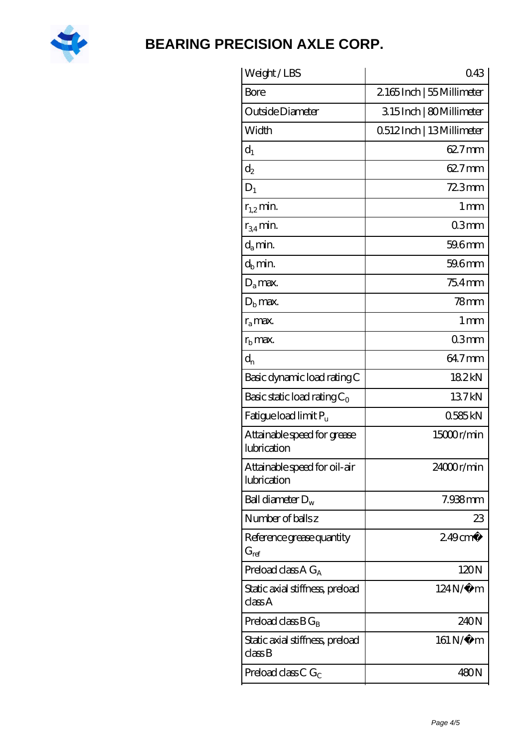

| Weight/LBS                                  | 043                     |
|---------------------------------------------|-------------------------|
| Bore                                        | 2165Inch   55Millimeter |
| Outside Diameter                            | 315Inch   80Millimeter  |
| Width                                       | 0512Inch   13Millimeter |
| $d_1$                                       | 62.7mm                  |
| $d_2$                                       | 62.7mm                  |
| $D_1$                                       | $723$ mm                |
| $r_{1,2}$ min.                              | 1 <sub>mm</sub>         |
| $r_{34}$ min.                               | 03mm                    |
| $d_a$ min.                                  | 59.6mm                  |
| $d_b$ min.                                  | 59.6mm                  |
| $D_a$ max.                                  | 75.4mm                  |
| $Db$ max.                                   | $78$ mm                 |
| $r_a$ max.                                  | $1 \,\mathrm{mm}$       |
| $r_{\rm b}$ max.                            | 03 <sub>mm</sub>        |
| $d_{n}$                                     | 64.7mm                  |
| Basic dynamic load rating C                 | 182kN                   |
| Basic static load rating $C_0$              | 137kN                   |
| Fatigue load limit P <sub>u</sub>           | 0585kN                  |
| Attainable speed for grease<br>lubrication  | 15000r/min              |
| Attainable speed for oil-air<br>lubrication | 24000r/min              |
| Ball diameter $D_w$                         | 7.938mm                 |
| Number of balls z                           | 23                      |
| Reference grease quantity<br>$G_{\sf ref}$  | $249$ cm <sup>3</sup>   |
| Preload class A $G_A$                       | 120N                    |
| Static axial stiffness, preload<br>classA   | $124N/\mu$ m            |
| Preload class $BG_B$                        | 240N                    |
| Static axial stiffness, preload<br>classB   | $161 N/\mu$ m           |
|                                             |                         |